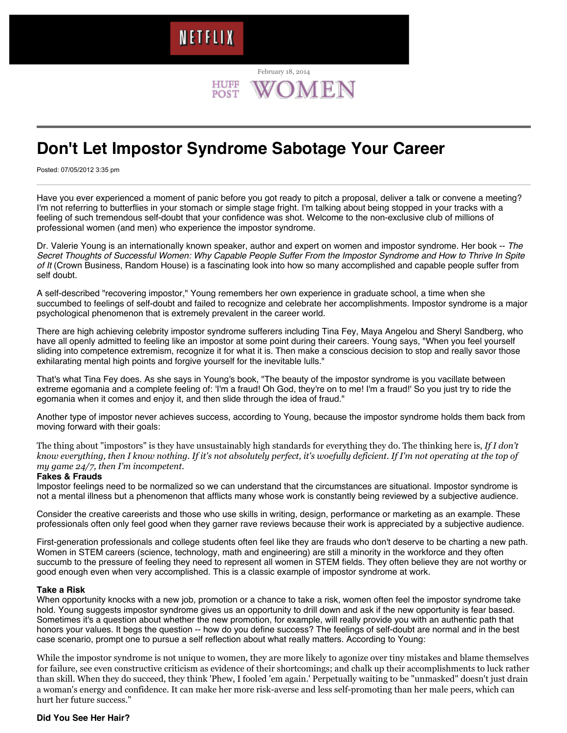# HUFF

February 18, 2014

## **Don't Let Impostor Syndrome Sabotage Your Career**

Posted: 07/05/2012 3:35 pm

Have you ever experienced a moment of panic before you got ready to pitch a proposal, deliver a talk or convene a meeting? I'm not referring to butterflies in your stomach or simple stage fright. I'm talking about being stopped in your tracks with a feeling of such tremendous self-doubt that your confidence was shot. Welcome to the non-exclusive club of millions of professional women (and men) who experience the impostor syndrome.

Dr. Valerie Young is an internationally known speaker, author and expert on women and impostor syndrome. Her book -- *The [Secret Thoughts of Successful Women: Why Capable People Suffer From the Impostor Syndrome and How to Thrive In Spite](http://www.impostorsyndrome.com/) of It* (Crown Business, Random House) is a fascinating look into how so many accomplished and capable people suffer from self doubt.

A self-described "recovering impostor," Young remembers her own experience in graduate school, a time when she succumbed to feelings of self-doubt and failed to recognize and celebrate her accomplishments. Impostor syndrome is a major psychological phenomenon that is extremely prevalent in the career world.

There are high achieving celebrity impostor syndrome sufferers including Tina Fey, Maya Angelou and Sheryl Sandberg, who have all openly admitted to feeling like an impostor at some point during their careers. Young says, "When you feel yourself sliding into competence extremism, recognize it for what it is. Then make a conscious decision to stop and really savor those exhilarating mental high points and forgive yourself for the inevitable lulls."

That's what Tina Fey does. As she says in Young's book, "The beauty of the impostor syndrome is you vacillate between extreme egomania and a complete feeling of: 'I'm a fraud! Oh God, they're on to me! I'm a fraud!' So you just try to ride the egomania when it comes and enjoy it, and then slide through the idea of fraud."

Another type of impostor never achieves success, according to Young, because the impostor syndrome holds them back from moving forward with their goals:

The thing about "impostors" is they have unsustainably high standards for everything they do. The thinking here is, *If I don't know everything, then I know nothing. If it's not absolutely perfect, it's woefully deficient. If I'm not operating at the top of my game 24/7, then I'm incompetent*.

#### **Fakes & Frauds**

Impostor feelings need to be normalized so we can understand that the circumstances are situational. Impostor syndrome is not a mental illness but a phenomenon that afflicts many whose work is constantly being reviewed by a subjective audience.

Consider the creative careerists and those who use skills in writing, design, performance or marketing as an example. These professionals often only feel good when they garner rave reviews because their work is appreciated by a subjective audience.

First-generation professionals and college students often feel like they are frauds who don't deserve to be charting a new path. Women in STEM careers (science, technology, math and engineering) are still a minority in the workforce and they often succumb to the pressure of feeling they need to represent all women in STEM fields. They often believe they are not worthy or good enough even when very accomplished. This is a classic example of impostor syndrome at work.

#### **Take a Risk**

When opportunity knocks with a new job, promotion or a chance to take a risk, women often feel the impostor syndrome take hold. Young suggests impostor syndrome gives us an opportunity to drill down and ask if the new opportunity is fear based. Sometimes it's a question about whether the new promotion, for example, will really provide you with an authentic path that honors your values. It begs the question -- how do you define success? The feelings of self-doubt are normal and in the best case scenario, prompt one to pursue a self reflection about what really matters. According to Young:

While the impostor syndrome is not unique to women, they are more likely to agonize over tiny mistakes and blame themselves for failure, see even constructive criticism as evidence of their shortcomings; and chalk up their accomplishments to luck rather than skill. When they do succeed, they think 'Phew, I fooled 'em again.' Perpetually waiting to be "unmasked" doesn't just drain a woman's energy and confidence. It can make her more risk-averse and less self-promoting than her male peers, which can hurt her future success."

#### **Did You See Her Hair?**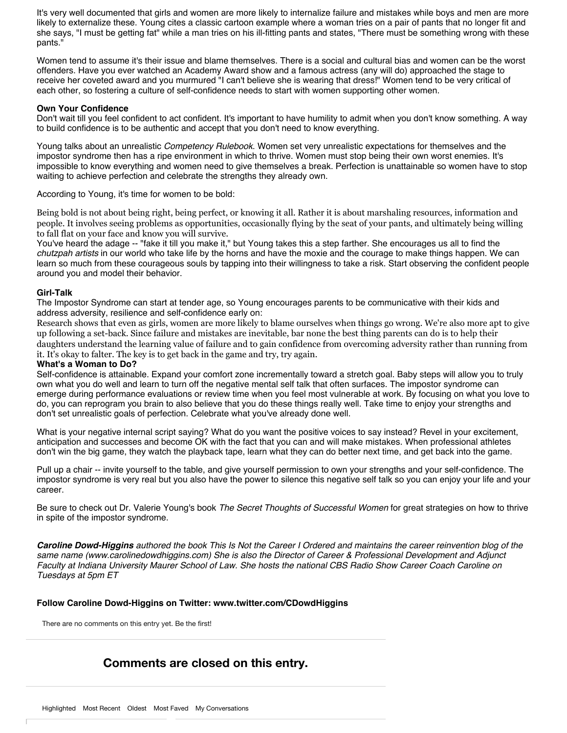It's very well documented that girls and women are more likely to internalize failure and mistakes while boys and men are more likely to externalize these. Young cites a classic cartoon example where a woman tries on a pair of pants that no longer fit and she says, "I must be getting fat" while a man tries on his ill-fitting pants and states, "There must be something wrong with these pants."

Women tend to assume it's their issue and blame themselves. There is a social and cultural bias and women can be the worst offenders. Have you ever watched an Academy Award show and a famous actress (any will do) approached the stage to receive her coveted award and you murmured "I can't believe she is wearing that dress!" Women tend to be very critical of each other, so fostering a culture of self-confidence needs to start with women supporting other women.

#### **Own Your Confidence**

Don't wait till you feel confident to act confident. It's important to have humility to admit when you don't know something. A way to build confidence is to be authentic and accept that you don't need to know everything.

Young talks about an unrealistic *Competency Rulebook*. Women set very unrealistic expectations for themselves and the impostor syndrome then has a ripe environment in which to thrive. Women must stop being their own worst enemies. It's impossible to know everything and women need to give themselves a break. Perfection is unattainable so women have to stop waiting to achieve perfection and celebrate the strengths they already own.

According to Young, it's time for women to be bold:

Being bold is not about being right, being perfect, or knowing it all. Rather it is about marshaling resources, information and people. It involves seeing problems as opportunities, occasionally flying by the seat of your pants, and ultimately being willing to fall flat on your face and know you will survive.

You've heard the adage -- "fake it till you make it," but Young takes this a step farther. She encourages us all to find the *chutzpah artists* in our world who take life by the horns and have the moxie and the courage to make things happen. We can learn so much from these courageous souls by tapping into their willingness to take a risk. Start observing the confident people around you and model their behavior.

#### **Girl-Talk**

The Impostor Syndrome can start at tender age, so Young encourages parents to be communicative with their kids and address adversity, resilience and self-confidence early on:

Research shows that even as girls, women are more likely to blame ourselves when things go wrong. We're also more apt to give up following a set-back. Since failure and mistakes are inevitable, bar none the best thing parents can do is to help their daughters understand the learning value of failure and to gain confidence from overcoming adversity rather than running from it. It's okay to falter. The key is to get back in the game and try, try again.

#### **What's a Woman to Do?**

Self-confidence is attainable. Expand your comfort zone incrementally toward a stretch goal. Baby steps will allow you to truly own what you do well and learn to turn off the negative mental self talk that often surfaces. The impostor syndrome can emerge during performance evaluations or review time when you feel most vulnerable at work. By focusing on what you love to do, you can reprogram you brain to also believe that you do these things really well. Take time to enjoy your strengths and don't set unrealistic goals of perfection. Celebrate what you've already done well.

What is your negative internal script saying? What do you want the positive voices to say instead? Revel in your excitement, anticipation and successes and become OK with the fact that you can and will make mistakes. When professional athletes don't win the big game, they watch the playback tape, learn what they can do better next time, and get back into the game.

Pull up a chair -- invite yourself to the table, and give yourself permission to own your strengths and your self-confidence. The impostor syndrome is very real but you also have the power to silence this negative self talk so you can enjoy your life and your career.

Be sure to check out Dr. Valerie Young's book *[The Secret Thoughts of Successful Women](http://www.impostorsyndrome.com/)* for great strategies on how to thrive in spite of the impostor syndrome.

*Caroline Dowd-Higgins authored the book [This Is Not the Career I Ordered](http://www.amazon.com/This-Not-Career-Ordered-Empowering/dp/0982731825) and maintains the career reinvention blog of the same name [\(www.carolinedowdhiggins.com\)](http://www.carolinedowdhiggins.com/) She is also the Director of Career & Professional Development and Adjunct Faculty at Indiana University Maurer School of Law. She hosts the nationa[l CBS Radio Show Career Coach Caroline](http://sky.radio.com/shows/coach-me/) on Tuesdays at 5pm ET*

#### **Follow Caroline Dowd-Higgins on Twitter: [www.twitter.com/CDowdHiggins](http://www.twitter.com/CDowdHiggins)**

There are no comments on this entry yet. Be the first!

### **Comments are closed on this entry.**